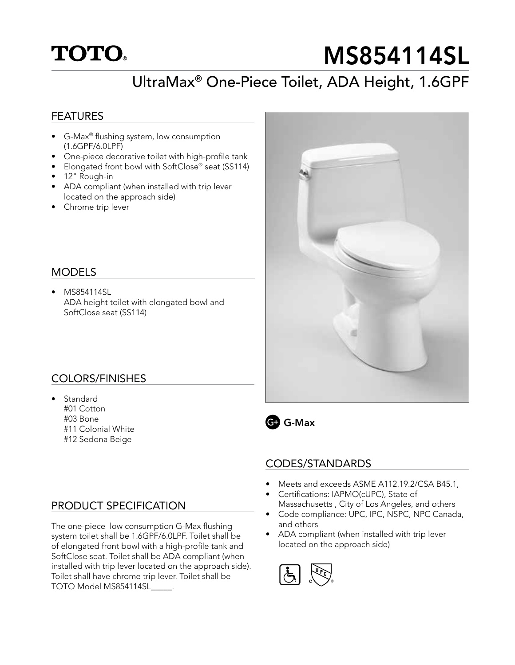# **TOTO.**

# MS854114SL

## UltraMax® One-Piece Toilet, ADA Height, 1.6GPF

#### FEATURES

- G-Max® flushing system, low consumption (1.6GPF/6.0LPF)
- One-piece decorative toilet with high-profile tank
- Elongated front bowl with SoftClose® seat (SS114)
- 12" Rough-in
- ADA compliant (when installed with trip lever located on the approach side)
- Chrome trip lever

#### MODELS

• MS854114SL ADA height toilet with elongated bowl and SoftClose seat (SS114)

#### COLORS/FINISHES

**Standard** #01 Cotton #03 Bone #11 Colonial White #12 Sedona Beige

#### PRODUCT SPECIFICATION

The one-piece low consumption G-Max flushing system toilet shall be 1.6GPF/6.0LPF. Toilet shall be of elongated front bowl with a high-profile tank and SoftClose seat. Toilet shall be ADA compliant (when installed with trip lever located on the approach side). Toilet shall have chrome trip lever. Toilet shall be TOTO Model MS854114SL\_\_\_\_\_.





#### CODES/STANDARDS

- Meets and exceeds ASME A112.19.2/CSA B45.1,
- Certifications: IAPMO(cUPC), State of Massachusetts , City of Los Angeles, and others
- Code compliance: UPC, IPC, NSPC, NPC Canada, and others
- ADA compliant (when installed with trip lever located on the approach side)